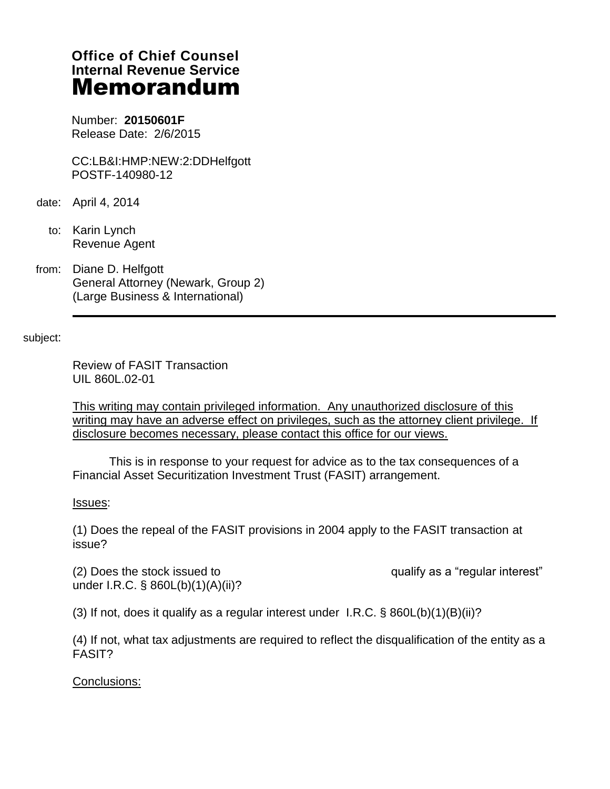# **Office of Chief Counsel Internal Revenue Service** Memorandum

Number: **20150601F** Release Date: 2/6/2015

CC:LB&I:HMP:NEW:2:DDHelfgott POSTF-140980-12

- date: April 4, 2014
	- to: Karin Lynch Revenue Agent
- from: Diane D. Helfgott General Attorney (Newark, Group 2) (Large Business & International)

subject:

Review of FASIT Transaction UIL 860L.02-01

This writing may contain privileged information. Any unauthorized disclosure of this writing may have an adverse effect on privileges, such as the attorney client privilege. If disclosure becomes necessary, please contact this office for our views.

 This is in response to your request for advice as to the tax consequences of a Financial Asset Securitization Investment Trust (FASIT) arrangement.

## Issues:

(1) Does the repeal of the FASIT provisions in 2004 apply to the FASIT transaction at issue?

(2) Does the stock issued to ------------------------------------------qualify as a "regular interest" under I.R.C. § 860L(b)(1)(A)(ii)?

(3) If not, does it qualify as a regular interest under I.R.C.  $\S$  860L(b)(1)(B)(ii)?

(4) If not, what tax adjustments are required to reflect the disqualification of the entity as a FASIT?

Conclusions: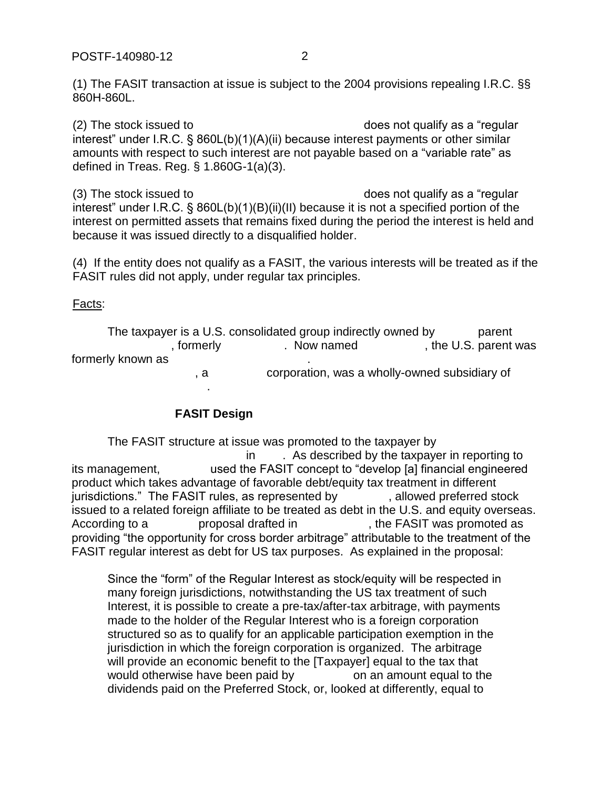(2) The stock issued to  $\qquad \qquad$  does not qualify as a "regular" interest" under I.R.C. § 860L(b)(1)(A)(ii) because interest payments or other similar amounts with respect to such interest are not payable based on a "variable rate" as defined in Treas. Reg. § 1.860G-1(a)(3).

 $(3)$  The stock issued to  $\qquad \qquad$   $\qquad \qquad$   $\qquad \qquad$  does not qualify as a "regular interest" under I.R.C. § 860L(b)(1)(B)(ii)(II) because it is not a specified portion of the interest on permitted assets that remains fixed during the period the interest is held and because it was issued directly to a disqualified holder.

(4) If the entity does not qualify as a FASIT, the various interests will be treated as if the FASIT rules did not apply, under regular tax principles.

## Facts:

The taxpayer is a U.S. consolidated group indirectly owned by  $\Box$  parent , formerly extending the U.S. parent was formerly known as , a corporation, was a wholly-owned subsidiary of ----------------------------------.

# **FASIT Design**

The FASIT structure at issue was promoted to the taxpayer by in . As described by the taxpayer in reporting to its management, example used the FASIT concept to "develop [a] financial engineered product which takes advantage of favorable debt/equity tax treatment in different jurisdictions." The FASIT rules, as represented by earch allowed preferred stock issued to a related foreign affiliate to be treated as debt in the U.S. and equity overseas. According to a ----------- proposal drafted in -----------------, the FASIT was promoted as providing "the opportunity for cross border arbitrage" attributable to the treatment of the FASIT regular interest as debt for US tax purposes. As explained in the proposal:

Since the "form" of the Regular Interest as stock/equity will be respected in many foreign jurisdictions, notwithstanding the US tax treatment of such Interest, it is possible to create a pre-tax/after-tax arbitrage, with payments made to the holder of the Regular Interest who is a foreign corporation structured so as to qualify for an applicable participation exemption in the jurisdiction in which the foreign corporation is organized. The arbitrage will provide an economic benefit to the [Taxpayer] equal to the tax that would otherwise have been paid by  $\qquad \qquad$  on an amount equal to the dividends paid on the Preferred Stock, or, looked at differently, equal to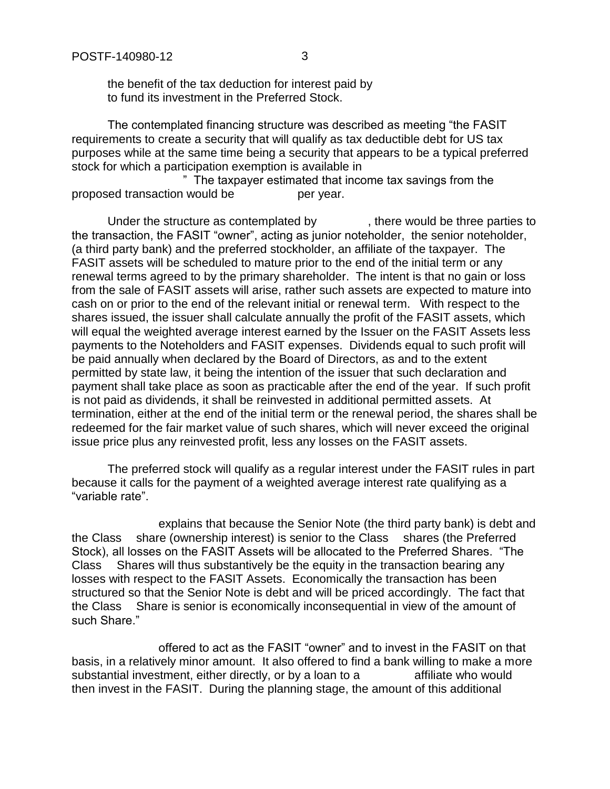the benefit of the tax deduction for interest paid by to fund its investment in the Preferred Stock.

The contemplated financing structure was described as meeting "the FASIT requirements to create a security that will qualify as tax deductible debt for US tax purposes while at the same time being a security that appears to be a typical preferred stock for which a participation exemption is available in

" The taxpayer estimated that income tax savings from the proposed transaction would be ---------------per year.

Under the structure as contemplated by  $\qquad \qquad$ , there would be three parties to the transaction, the FASIT "owner", acting as junior noteholder, the senior noteholder, (a third party bank) and the preferred stockholder, an affiliate of the taxpayer. The FASIT assets will be scheduled to mature prior to the end of the initial term or any renewal terms agreed to by the primary shareholder. The intent is that no gain or loss from the sale of FASIT assets will arise, rather such assets are expected to mature into cash on or prior to the end of the relevant initial or renewal term. With respect to the shares issued, the issuer shall calculate annually the profit of the FASIT assets, which will equal the weighted average interest earned by the Issuer on the FASIT Assets less payments to the Noteholders and FASIT expenses. Dividends equal to such profit will be paid annually when declared by the Board of Directors, as and to the extent permitted by state law, it being the intention of the issuer that such declaration and payment shall take place as soon as practicable after the end of the year. If such profit is not paid as dividends, it shall be reinvested in additional permitted assets. At termination, either at the end of the initial term or the renewal period, the shares shall be redeemed for the fair market value of such shares, which will never exceed the original issue price plus any reinvested profit, less any losses on the FASIT assets.

The preferred stock will qualify as a regular interest under the FASIT rules in part because it calls for the payment of a weighted average interest rate qualifying as a "variable rate".

explains that because the Senior Note (the third party bank) is debt and the Class share (ownership interest) is senior to the Class shares (the Preferred Stock), all losses on the FASIT Assets will be allocated to the Preferred Shares. "The Class ---Shares will thus substantively be the equity in the transaction bearing any losses with respect to the FASIT Assets. Economically the transaction has been structured so that the Senior Note is debt and will be priced accordingly. The fact that the Class -- Share is senior is economically inconsequential in view of the amount of such Share."

offered to act as the FASIT "owner" and to invest in the FASIT on that basis, in a relatively minor amount. It also offered to find a bank willing to make a more substantial investment, either directly, or by a loan to a exact affiliate who would then invest in the FASIT. During the planning stage, the amount of this additional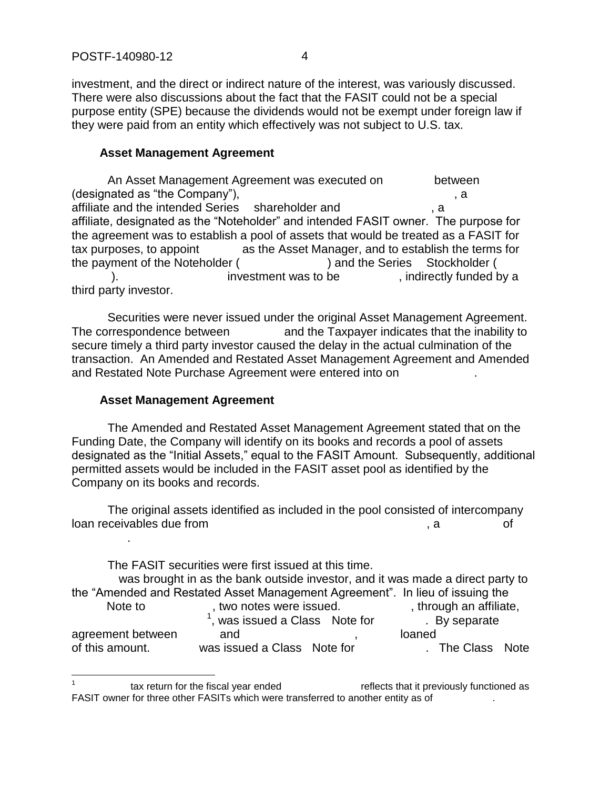investment, and the direct or indirect nature of the interest, was variously discussed. There were also discussions about the fact that the FASIT could not be a special purpose entity (SPE) because the dividends would not be exempt under foreign law if they were paid from an entity which effectively was not subject to U.S. tax.

#### **Asset Management Agreement**

An Asset Management Agreement was executed on between  $(desired as "the Company").$ affiliate and the intended Series -- shareholder and ----------------------, a -------------- affiliate, designated as the "Noteholder" and intended FASIT owner. The purpose for the agreement was to establish a pool of assets that would be treated as a FASIT for tax purposes, to appoint as the Asset Manager, and to establish the terms for the payment of the Noteholder ( $\qquad \qquad$ ) and the Series -- Stockholder ( ). The summatrianglengies investment was to be  $\sim$ , indirectly funded by a third party investor.

Securities were never issued under the original Asset Management Agreement. The correspondence between  $\qquad \qquad$  and the Taxpayer indicates that the inability to secure timely a third party investor caused the delay in the actual culmination of the transaction. An Amended and Restated Asset Management Agreement and Amended and Restated Note Purchase Agreement were entered into on

## **Asset Management Agreement**

--------------.

The Amended and Restated Asset Management Agreement stated that on the Funding Date, the Company will identify on its books and records a pool of assets designated as the "Initial Assets," equal to the FASIT Amount. Subsequently, additional permitted assets would be included in the FASIT asset pool as identified by the Company on its books and records.

The original assets identified as included in the pool consisted of intercompany loan receivables due from example of the state of the state of the state of the state of the state of the state of the state of the state of the state of the state of the state of the state of the state of the state of the

The FASIT securities were first issued at this time. was brought in as the bank outside investor, and it was made a direct party to the "Amended and Restated Asset Management Agreement". In lieu of issuing the Note to motes were issued. The state of the state of the second of the state of the state of the second and the second of the state of the state of the second of the second of the state of the state of the second of the st was issued a Class Note for Fall By separate agreement between and and agreement between and and  $\blacksquare$ of this amount. --------- was issued a Class - Note for -----------------. The Class --Note

 $\overline{a}$ 1 tax return for the fiscal year ended  $\qquad \qquad$  reflects that it previously functioned as FASIT owner for three other FASITs which were transferred to another entity as of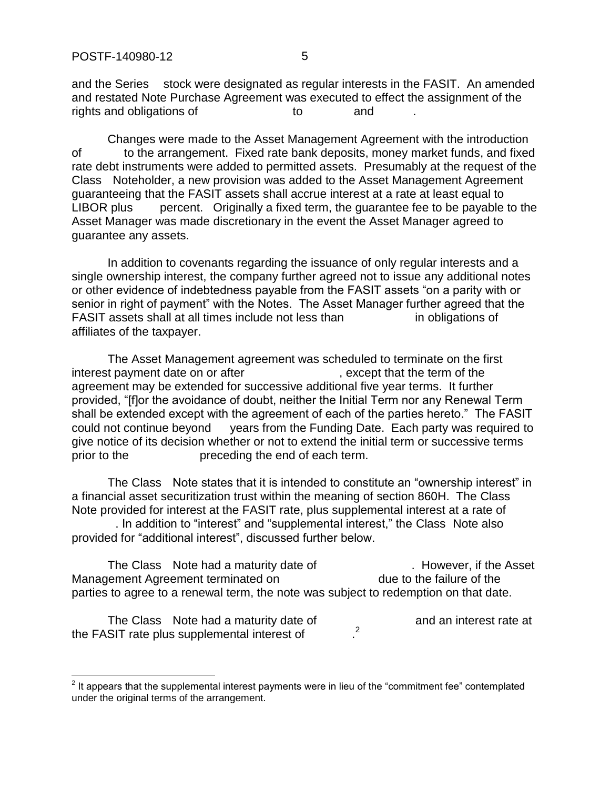$\overline{a}$ 

and the Series stock were designated as regular interests in the FASIT. An amended and restated Note Purchase Agreement was executed to effect the assignment of the rights and obligations of  $\qquad \qquad$  to  $\qquad \qquad$  and

Changes were made to the Asset Management Agreement with the introduction of to the arrangement. Fixed rate bank deposits, money market funds, and fixed rate debt instruments were added to permitted assets. Presumably at the request of the Class Noteholder, a new provision was added to the Asset Management Agreement guaranteeing that the FASIT assets shall accrue interest at a rate at least equal to LIBOR plus percent. Originally a fixed term, the guarantee fee to be payable to the Asset Manager was made discretionary in the event the Asset Manager agreed to guarantee any assets.

In addition to covenants regarding the issuance of only regular interests and a single ownership interest, the company further agreed not to issue any additional notes or other evidence of indebtedness payable from the FASIT assets "on a parity with or senior in right of payment" with the Notes. The Asset Manager further agreed that the FASIT assets shall at all times include not less than  $\blacksquare$  in obligations of affiliates of the taxpayer.

The Asset Management agreement was scheduled to terminate on the first interest payment date on or after  $\blacksquare$ , except that the term of the agreement may be extended for successive additional five year terms. It further provided, "[f]or the avoidance of doubt, neither the Initial Term nor any Renewal Term shall be extended except with the agreement of each of the parties hereto." The FASIT could not continue beyond years from the Funding Date. Each party was required to give notice of its decision whether or not to extend the initial term or successive terms prior to the  $\qquad \qquad$  preceding the end of each term.

The Class - Note states that it is intended to constitute an "ownership interest" in a financial asset securitization trust within the meaning of section 860H. The Class Note provided for interest at the FASIT rate, plus supplemental interest at a rate of

. In addition to "interest" and "supplemental interest," the Class Note also provided for "additional interest", discussed further below.

The Class - Note had a maturity date of The Class -------------------------------Management Agreement terminated on  $\qquad \qquad$  due to the failure of the parties to agree to a renewal term, the note was subject to redemption on that date.

The Class Note had a maturity date of The Class and an interest rate at the FASIT rate plus supplemental interest of .  $\cdot$ <sup>2</sup>

 $2$  It appears that the supplemental interest payments were in lieu of the "commitment fee" contemplated under the original terms of the arrangement.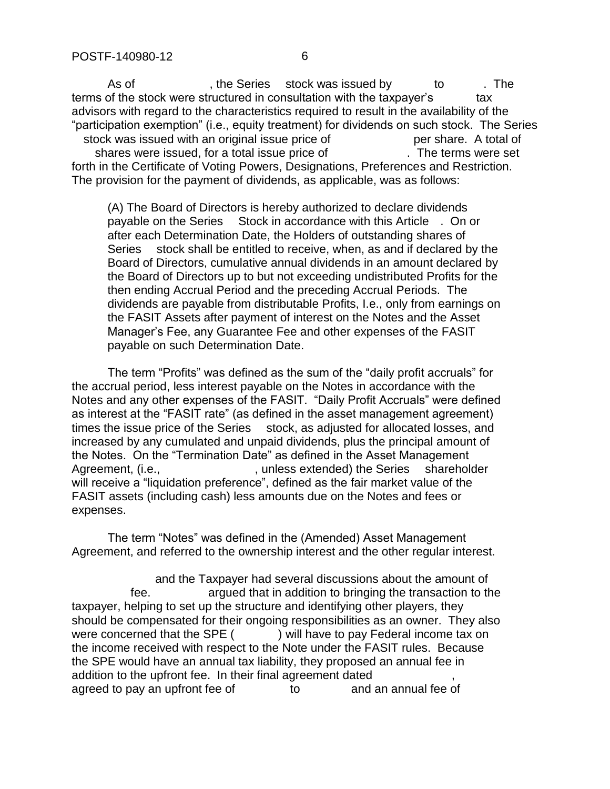As of  $\overline{\phantom{a}}$  . the Series -stock was issued by  $\overline{\phantom{a}}$  to  $\overline{\phantom{a}}$ . The terms of the stock were structured in consultation with the taxpayer's tax advisors with regard to the characteristics required to result in the availability of the "participation exemption" (i.e., equity treatment) for dividends on such stock. The Series stock was issued with an original issue price of  $\qquad \qquad$  per share. A total of shares were issued, for a total issue price of The terms were set forth in the Certificate of Voting Powers, Designations, Preferences and Restriction. The provision for the payment of dividends, as applicable, was as follows:

(A) The Board of Directors is hereby authorized to declare dividends payable on the Series Stock in accordance with this Article . On or after each Determination Date, the Holders of outstanding shares of Series stock shall be entitled to receive, when, as and if declared by the Board of Directors, cumulative annual dividends in an amount declared by the Board of Directors up to but not exceeding undistributed Profits for the then ending Accrual Period and the preceding Accrual Periods. The dividends are payable from distributable Profits, I.e., only from earnings on the FASIT Assets after payment of interest on the Notes and the Asset Manager's Fee, any Guarantee Fee and other expenses of the FASIT payable on such Determination Date.

The term "Profits" was defined as the sum of the "daily profit accruals" for the accrual period, less interest payable on the Notes in accordance with the Notes and any other expenses of the FASIT. "Daily Profit Accruals" were defined as interest at the "FASIT rate" (as defined in the asset management agreement) times the issue price of the Series stock, as adjusted for allocated losses, and increased by any cumulated and unpaid dividends, plus the principal amount of the Notes. On the "Termination Date" as defined in the Asset Management Agreement, (i.e., -----------------------, unless extended) the Series ---shareholder will receive a "liquidation preference", defined as the fair market value of the FASIT assets (including cash) less amounts due on the Notes and fees or expenses.

The term "Notes" was defined in the (Amended) Asset Management Agreement, and referred to the ownership interest and the other regular interest.

and the Taxpayer had several discussions about the amount of fee.  $\blacksquare$  argued that in addition to bringing the transaction to the taxpayer, helping to set up the structure and identifying other players, they should be compensated for their ongoing responsibilities as an owner. They also were concerned that the SPE  $($ ) will have to pay Federal income tax on the income received with respect to the Note under the FASIT rules. Because the SPE would have an annual tax liability, they proposed an annual fee in addition to the upfront fee. In their final agreement dated agreed to pay an upfront fee of  $\qquad \qquad$  to  $\qquad \qquad$  and an annual fee of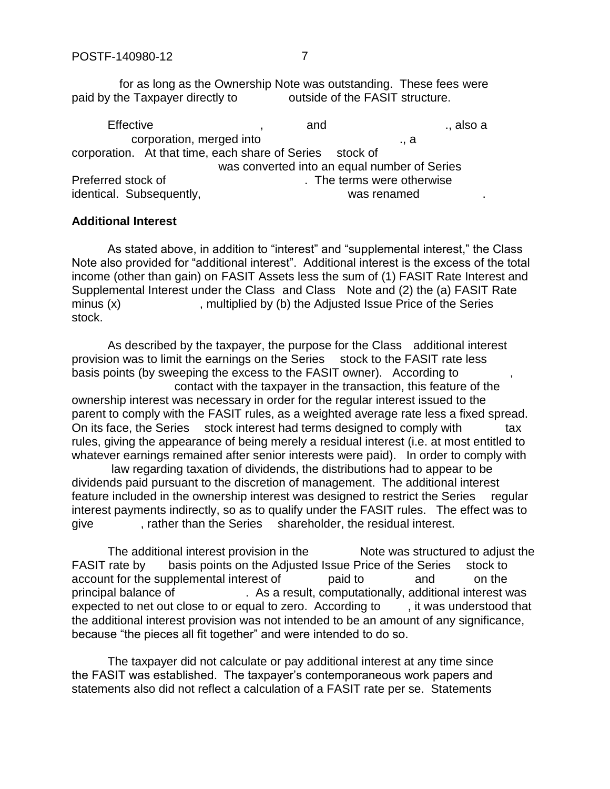for as long as the Ownership Note was outstanding. These fees were<br>he Taxpaver directly to outside of the FASIT structure. paid by the Taxpayer directly to

Effective and the state of the state of the state of the state of the state of the state of the state of the s corporation, merged into  $\Box$ , a corporation. At that time, each share of Series ----stock of was converted into an equal number of Series Preferred stock of ----------------------------------. The terms were otherwise identical. Subsequently, and the state of the state of the state of the state of the state of the state of the

#### **Additional Interest**

As stated above, in addition to "interest" and "supplemental interest," the Class Note also provided for "additional interest". Additional interest is the excess of the total income (other than gain) on FASIT Assets less the sum of (1) FASIT Rate Interest and Supplemental Interest under the Class and Class Note and (2) the (a) FASIT Rate  $minus (x)$   $\qquad \qquad$ , multiplied by (b) the Adjusted Issue Price of the Series stock.

As described by the taxpayer, the purpose for the Class additional interest provision was to limit the earnings on the Series stock to the FASIT rate less basis points (by sweeping the excess to the FASIT owner). According to contact with the taxpayer in the transaction, this feature of the ownership interest was necessary in order for the regular interest issued to the parent to comply with the FASIT rules, as a weighted average rate less a fixed spread. On its face, the Series stock interest had terms designed to comply with tax rules, giving the appearance of being merely a residual interest (i.e. at most entitled to whatever earnings remained after senior interests were paid). In order to comply with law regarding taxation of dividends, the distributions had to appear to be

dividends paid pursuant to the discretion of management. The additional interest feature included in the ownership interest was designed to restrict the Series regular interest payments indirectly, so as to qualify under the FASIT rules. The effect was to give  $\cdot$ , rather than the Series shareholder, the residual interest.

The additional interest provision in the  $\blacksquare$  Note was structured to adjust the FASIT rate by basis points on the Adjusted Issue Price of the Series stock to account for the supplemental interest of -----------paid to ------------and ---------on the principal balance of  $\qquad \qquad$ . As a result, computationally, additional interest was expected to net out close to or equal to zero. According to  $\cdots$ , it was understood that the additional interest provision was not intended to be an amount of any significance, because "the pieces all fit together" and were intended to do so.

The taxpayer did not calculate or pay additional interest at any time since the FASIT was established. The taxpayer's contemporaneous work papers and statements also did not reflect a calculation of a FASIT rate per se. Statements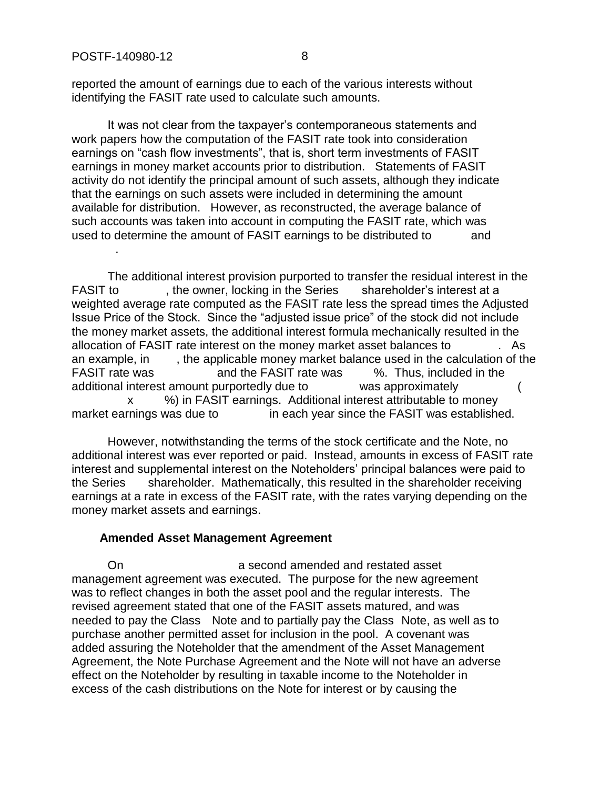reported the amount of earnings due to each of the various interests without identifying the FASIT rate used to calculate such amounts.

It was not clear from the taxpayer's contemporaneous statements and work papers how the computation of the FASIT rate took into consideration earnings on "cash flow investments", that is, short term investments of FASIT earnings in money market accounts prior to distribution. Statements of FASIT activity do not identify the principal amount of such assets, although they indicate that the earnings on such assets were included in determining the amount available for distribution. However, as reconstructed, the average balance of such accounts was taken into account in computing the FASIT rate, which was used to determine the amount of FASIT earnings to be distributed to and -----------.

The additional interest provision purported to transfer the residual interest in the FASIT to  $\blacksquare$ , the owner, locking in the Series shareholder's interest at a weighted average rate computed as the FASIT rate less the spread times the Adjusted Issue Price of the Stock. Since the "adjusted issue price" of the stock did not include the money market assets, the additional interest formula mechanically resulted in the allocation of FASIT rate interest on the money market asset balances to  $\cdot$ . As an example, in  $\blacksquare$ , the applicable money market balance used in the calculation of the FASIT rate was each othe FASIT rate was the Sea Thus, included in the additional interest amount purportedly due to ------------was approximately --------------(--- x  $-$  %) in FASIT earnings. Additional interest attributable to money market earnings was due to  $\qquad \qquad$  in each year since the FASIT was established.

However, notwithstanding the terms of the stock certificate and the Note, no additional interest was ever reported or paid. Instead, amounts in excess of FASIT rate interest and supplemental interest on the Noteholders' principal balances were paid to the Series shareholder. Mathematically, this resulted in the shareholder receiving earnings at a rate in excess of the FASIT rate, with the rates varying depending on the money market assets and earnings.

#### **Amended Asset Management Agreement**

On a second amended and restated asset management agreement was executed. The purpose for the new agreement was to reflect changes in both the asset pool and the regular interests. The revised agreement stated that one of the FASIT assets matured, and was needed to pay the Class - Note and to partially pay the Class -Note, as well as to purchase another permitted asset for inclusion in the pool. A covenant was added assuring the Noteholder that the amendment of the Asset Management Agreement, the Note Purchase Agreement and the Note will not have an adverse effect on the Noteholder by resulting in taxable income to the Noteholder in excess of the cash distributions on the Note for interest or by causing the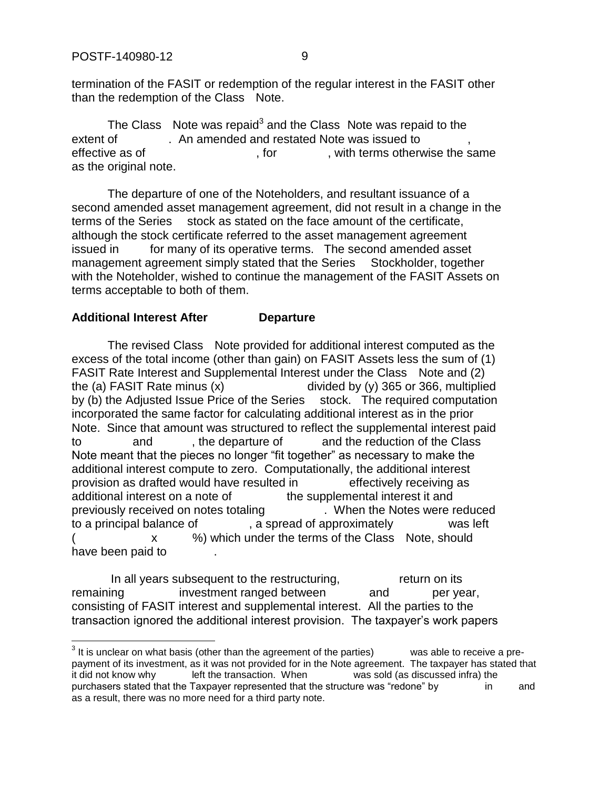$\overline{a}$ 

termination of the FASIT or redemption of the regular interest in the FASIT other than the redemption of the Class Note.

The Class  $\Delta$  Note was repaid<sup>3</sup> and the Class  $\Delta$  Note was repaid to the extent of . An amended and restated Note was issued to effective as of ---------------------------, for ------------, with terms otherwise the same as the original note.

The departure of one of the Noteholders, and resultant issuance of a second amended asset management agreement, did not result in a change in the terms of the Series stock as stated on the face amount of the certificate, although the stock certificate referred to the asset management agreement issued in for many of its operative terms. The second amended asset management agreement simply stated that the Series Stockholder, together with the Noteholder, wished to continue the management of the FASIT Assets on terms acceptable to both of them.

#### **Additional Interest After ------------Departure**

The revised Class Note provided for additional interest computed as the excess of the total income (other than gain) on FASIT Assets less the sum of (1) FASIT Rate Interest and Supplemental Interest under the Class - Note and (2) the (a) FASIT Rate minus  $(x)$   $\qquad \qquad$  divided by (y) 365 or 366, multiplied by (b) the Adjusted Issue Price of the Series ---stock. The required computation incorporated the same factor for calculating additional interest as in the prior Note. Since that amount was structured to reflect the supplemental interest paid to and the departure of and the reduction of the Class Note meant that the pieces no longer "fit together" as necessary to make the additional interest compute to zero. Computationally, the additional interest provision as drafted would have resulted in effectively receiving as additional interest on a note of  $\qquad \qquad$  the supplemental interest it and previously received on notes totaling --------------. When the Notes were reduced to a principal balance of  $\qquad \qquad$ , a spread of approximately  $\qquad \qquad$  was left x (20) which under the terms of the Class - Note, should have been paid to

In all years subsequent to the restructuring, example the return on its remaining -------------investment ranged between ----------and ----------per year, consisting of FASIT interest and supplemental interest. All the parties to the transaction ignored the additional interest provision. The taxpayer's work papers

 $3$  It is unclear on what basis (other than the agreement of the parties) was able to receive a prepayment of its investment, as it was not provided for in the Note agreement. The taxpayer has stated that it did not know why left the transaction. When was sold (as discussed infra) the it did not know why ----------left the transaction. When -------------was sold (as discussed infra) the purchasers stated that the Taxpayer represented that the structure was "redone" by --------------------------as a result, there was no more need for a third party note.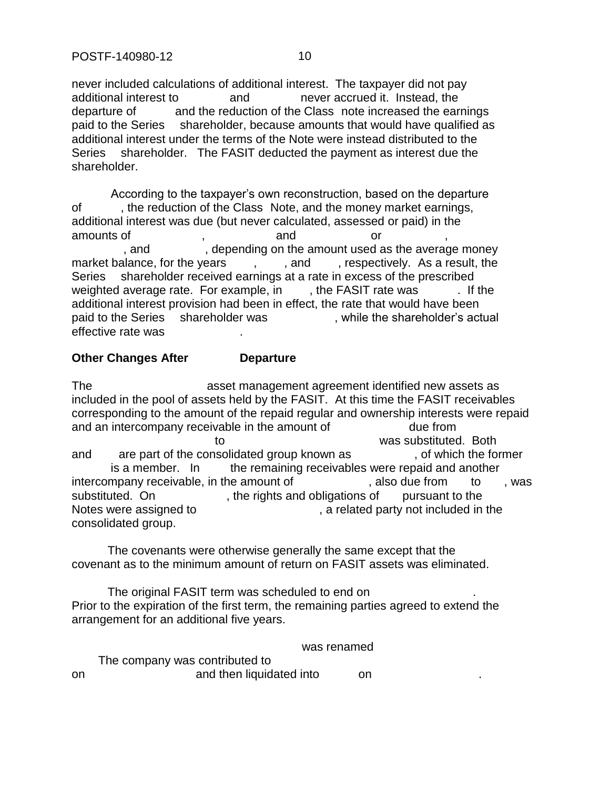never included calculations of additional interest. The taxpayer did not pay additional interest to  $\qquad \qquad$  and  $\qquad \qquad$  never accrued it. Instead, the departure of and the reduction of the Class note increased the earnings paid to the Series shareholder, because amounts that would have qualified as additional interest under the terms of the Note were instead distributed to the Series ---shareholder. The FASIT deducted the payment as interest due the shareholder.

According to the taxpayer's own reconstruction, based on the departure of fight the reduction of the Class Note, and the money market earnings, additional interest was due (but never calculated, assessed or paid) in the amounts of the state of the state of the state of the state of the state of the state of the state of the state or  $\alpha$ . and  $\blacksquare$ , depending on the amount used as the average money market balance, for the years  $\cdots$ ,  $\cdots$ , and  $\cdots$ , respectively. As a result, the Series ----shareholder received earnings at a rate in excess of the prescribed weighted average rate. For example, in ; the FASIT rate was . If the additional interest provision had been in effect, the rate that would have been paid to the Series shareholder was ... while the shareholder's actual effective rate was

### **Other Changes After ------------Departure**

The state of the same asset management agreement identified new assets as included in the pool of assets held by the FASIT. At this time the FASIT receivables corresponding to the amount of the repaid regular and ownership interests were repaid and an intercompany receivable in the amount of  $\qquad \qquad$  due from to internal to the substituted. Both  $\alpha$  was substituted. Both and are part of the consolidated group known as  $\cdot$ , of which the former is a member. In the remaining receivables were repaid and another intercompany receivable, in the amount of  $\qquad \qquad$ , also due from  $\qquad$  to  $\qquad$ , was substituted. On  $\qquad \qquad$ , the rights and obligations of  $\qquad$  pursuant to the Notes were assigned to  $\blacksquare$ , a related party not included in the consolidated group.

The covenants were otherwise generally the same except that the covenant as to the minimum amount of return on FASIT assets was eliminated.

The original FASIT term was scheduled to end on Prior to the expiration of the first term, the remaining parties agreed to extend the arrangement for an additional five years.

was renamed

The company was contributed to on and then liquidated into on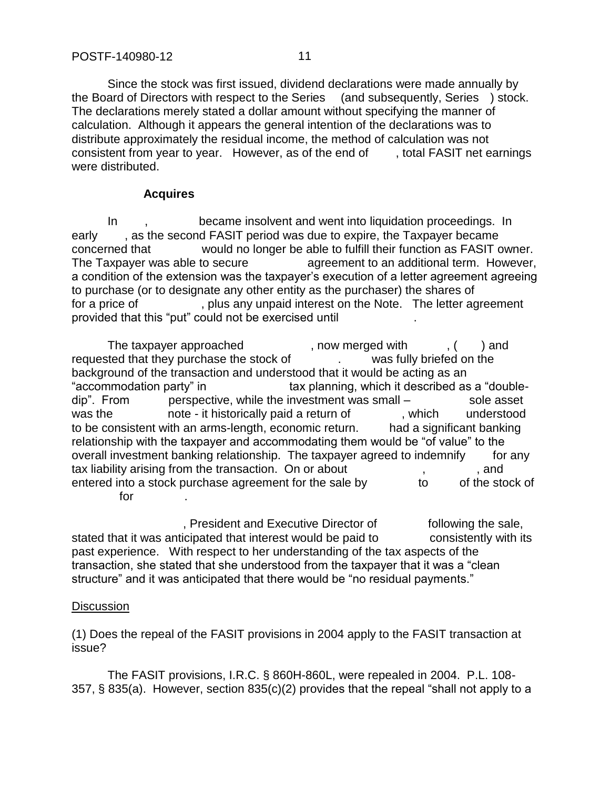Since the stock was first issued, dividend declarations were made annually by the Board of Directors with respect to the Series (and subsequently, Series ) stock. The declarations merely stated a dollar amount without specifying the manner of calculation. Although it appears the general intention of the declarations was to distribute approximately the residual income, the method of calculation was not consistent from year to year. However, as of the end of  $\blacksquare$ , total FASIT net earnings were distributed.

# **Acquires**

In  $\blacksquare$ , became insolvent and went into liquidation proceedings. In early , as the second FASIT period was due to expire, the Taxpayer became concerned that ------------would no longer be able to fulfill their function as FASIT owner. The Taxpayer was able to secure --------------agreement to an additional term. However, a condition of the extension was the taxpayer's execution of a letter agreement agreeing to purchase (or to designate any other entity as the purchaser) the shares of for a price of  $\qquad \qquad$ , plus any unpaid interest on the Note. The letter agreement provided that this "put" could not be exercised until

The taxpayer approached  $\blacksquare$ , now merged with  $\blacksquare$ , ( $\blacksquare$ ) and requested that they purchase the stock of Theorem 2012 was fully briefed on the background of the transaction and understood that it would be acting as an "accommodation party" in  $\qquad \qquad$  tax planning, which it described as a "doubledip". From  $\qquad$  perspective, while the investment was small –  $\qquad$  sole asset was the historically paid a return of the state of the state of the state of the state of the state of the state of the state of the state of the state of the state of the state of the state of the state of the state of th to be consistent with an arms-length, economic return. had a significant banking relationship with the taxpayer and accommodating them would be "of value" to the overall investment banking relationship. The taxpayer agreed to indemnify for any tax liability arising from the transaction. On or about  $\cdots$ ,  $\cdots$ , and entered into a stock purchase agreement for the sale by  $\qquad \qquad$  to  $\qquad$  of the stock of  $for$ 

. President and Executive Director of Following the sale, stated that it was anticipated that interest would be paid to consistently with its past experience. With respect to her understanding of the tax aspects of the transaction, she stated that she understood from the taxpayer that it was a "clean structure" and it was anticipated that there would be "no residual payments."

# **Discussion**

(1) Does the repeal of the FASIT provisions in 2004 apply to the FASIT transaction at issue?

The FASIT provisions, I.R.C. § 860H-860L, were repealed in 2004. P.L. 108- 357, § 835(a). However, section 835(c)(2) provides that the repeal "shall not apply to a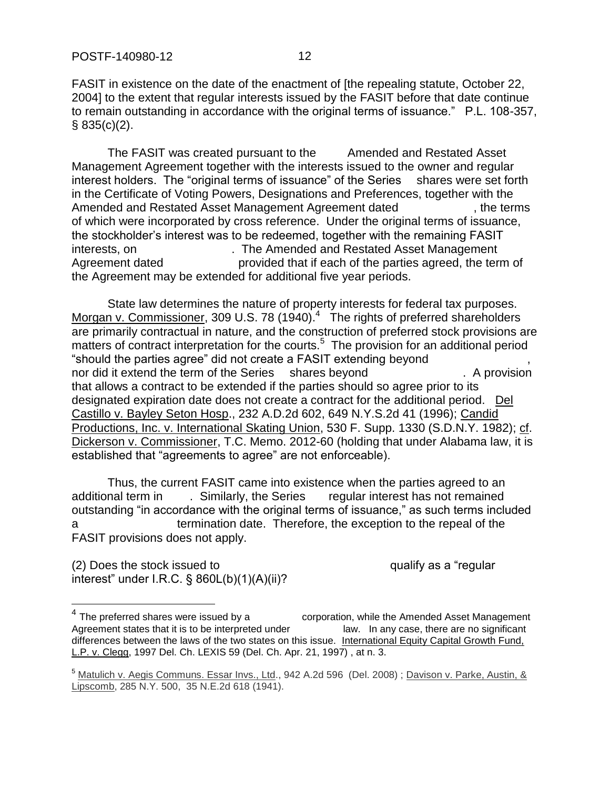FASIT in existence on the date of the enactment of [the repealing statute, October 22, 2004] to the extent that regular interests issued by the FASIT before that date continue to remain outstanding in accordance with the original terms of issuance." P.L. 108-357, § 835(c)(2).

The FASIT was created pursuant to the Amended and Restated Asset Management Agreement together with the interests issued to the owner and regular interest holders. The "original terms of issuance" of the Series ---shares were set forth in the Certificate of Voting Powers, Designations and Preferences, together with the Amended and Restated Asset Management Agreement dated  $\blacksquare$ , the terms of which were incorporated by cross reference. Under the original terms of issuance, the stockholder's interest was to be redeemed, together with the remaining FASIT interests, on  $\blacksquare$ . The Amended and Restated Asset Management Agreement dated ------------------provided that if each of the parties agreed, the term of the Agreement may be extended for additional five year periods.

State law determines the nature of property interests for federal tax purposes. Morgan v. Commissioner, 309 U.S. 78 (1940).<sup>4</sup> The rights of preferred shareholders are primarily contractual in nature, and the construction of preferred stock provisions are matters of contract interpretation for the courts.<sup>5</sup> The provision for an additional period "should the parties agree" did not create a FASIT extending beyond nor did it extend the term of the Series ---shares beyond -----------------------. A provision that allows a contract to be extended if the parties should so agree prior to its designated expiration date does not create a contract for the additional period. Del Castillo v. Bayley Seton Hosp., 232 A.D.2d 602, 649 N.Y.S.2d 41 (1996); Candid Productions, Inc. v. International Skating Union, 530 F. Supp. 1330 (S.D.N.Y. 1982); cf. Dickerson v. Commissioner, T.C. Memo. 2012-60 (holding that under Alabama law, it is established that "agreements to agree" are not enforceable).

Thus, the current FASIT came into existence when the parties agreed to an additional term in . Similarly, the Series regular interest has not remained outstanding "in accordance with the original terms of issuance," as such terms included a ------------------------termination date. Therefore, the exception to the repeal of the FASIT provisions does not apply.

 $(2)$  Does the stock issued to  $\qquad \qquad \qquad \qquad$  qualify as a "regular interest" under I.R.C. § 860L(b)(1)(A)(ii)?

 4 corporation, while the Amended Asset Management Agreement states that it is to be interpreted under ---------------law. In any case, there are no significant differences between the laws of the two states on this issue. International Equity Capital Growth Fund, L.P. v. Clegg, 1997 Del. Ch. LEXIS 59 (Del. Ch. Apr. 21, 1997) , at n. 3.

<sup>5</sup> Matulich v. Aegis Communs. Essar Invs., Ltd., 942 A.2d 596 (Del. 2008) ; Davison v. Parke, Austin, & Lipscomb, 285 N.Y. 500, 35 N.E.2d 618 (1941).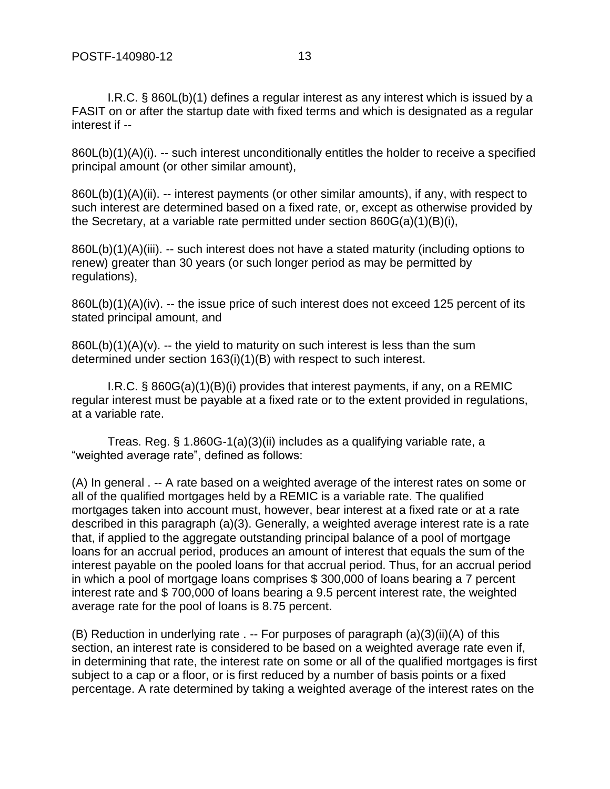I.R.C. § 860L(b)(1) defines a regular interest as any interest which is issued by a FASIT on or after the startup date with fixed terms and which is designated as a regular interest if --

860L(b)(1)(A)(i). -- such interest unconditionally entitles the holder to receive a specified principal amount (or other similar amount),

860L(b)(1)(A)(ii). -- interest payments (or other similar amounts), if any, with respect to such interest are determined based on a fixed rate, or, except as otherwise provided by the Secretary, at a variable rate permitted under section 860G(a)(1)(B)(i),

860L(b)(1)(A)(iii). -- such interest does not have a stated maturity (including options to renew) greater than 30 years (or such longer period as may be permitted by regulations),

860L(b)(1)(A)(iv). -- the issue price of such interest does not exceed 125 percent of its stated principal amount, and

 $860L(b)(1)(A)(v)$ . -- the yield to maturity on such interest is less than the sum determined under section 163(i)(1)(B) with respect to such interest.

I.R.C. § 860G(a)(1)(B)(i) provides that interest payments, if any, on a REMIC regular interest must be payable at a fixed rate or to the extent provided in regulations, at a variable rate.

Treas. Reg. § 1.860G-1(a)(3)(ii) includes as a qualifying variable rate, a "weighted average rate", defined as follows:

(A) In general . -- A rate based on a weighted average of the interest rates on some or all of the qualified mortgages held by a REMIC is a variable rate. The qualified mortgages taken into account must, however, bear interest at a fixed rate or at a rate described in this paragraph (a)(3). Generally, a weighted average interest rate is a rate that, if applied to the aggregate outstanding principal balance of a pool of mortgage loans for an accrual period, produces an amount of interest that equals the sum of the interest payable on the pooled loans for that accrual period. Thus, for an accrual period in which a pool of mortgage loans comprises \$ 300,000 of loans bearing a 7 percent interest rate and \$ 700,000 of loans bearing a 9.5 percent interest rate, the weighted average rate for the pool of loans is 8.75 percent.

(B) Reduction in underlying rate . -- For purposes of paragraph (a)(3)(ii)(A) of this section, an interest rate is considered to be based on a weighted average rate even if, in determining that rate, the interest rate on some or all of the qualified mortgages is first subject to a cap or a floor, or is first reduced by a number of basis points or a fixed percentage. A rate determined by taking a weighted average of the interest rates on the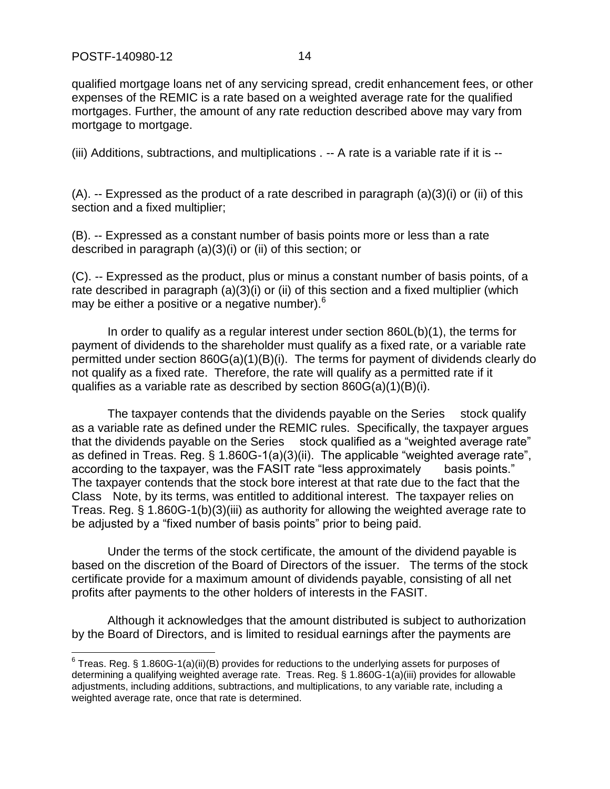qualified mortgage loans net of any servicing spread, credit enhancement fees, or other expenses of the REMIC is a rate based on a weighted average rate for the qualified mortgages. Further, the amount of any rate reduction described above may vary from mortgage to mortgage.

(iii) Additions, subtractions, and multiplications . -- A rate is a variable rate if it is --

 $(A)$ . -- Expressed as the product of a rate described in paragraph  $(a)(3)(i)$  or  $(ii)$  of this section and a fixed multiplier;

(B). -- Expressed as a constant number of basis points more or less than a rate described in paragraph (a)(3)(i) or (ii) of this section; or

(C). -- Expressed as the product, plus or minus a constant number of basis points, of a rate described in paragraph (a)(3)(i) or (ii) of this section and a fixed multiplier (which may be either a positive or a negative number).<sup>6</sup>

In order to qualify as a regular interest under section 860L(b)(1), the terms for payment of dividends to the shareholder must qualify as a fixed rate, or a variable rate permitted under section 860G(a)(1)(B)(i). The terms for payment of dividends clearly do not qualify as a fixed rate. Therefore, the rate will qualify as a permitted rate if it qualifies as a variable rate as described by section 860G(a)(1)(B)(i).

The taxpayer contends that the dividends payable on the Series ----stock qualify as a variable rate as defined under the REMIC rules. Specifically, the taxpayer argues that the dividends payable on the Series stock qualified as a "weighted average rate" as defined in Treas. Reg. § 1.860G-1(a)(3)(ii). The applicable "weighted average rate", according to the taxpayer, was the FASIT rate "less approximately basis points." The taxpayer contends that the stock bore interest at that rate due to the fact that the Class - Note, by its terms, was entitled to additional interest. The taxpayer relies on Treas. Reg. § 1.860G-1(b)(3)(iii) as authority for allowing the weighted average rate to be adjusted by a "fixed number of basis points" prior to being paid.

Under the terms of the stock certificate, the amount of the dividend payable is based on the discretion of the Board of Directors of the issuer. The terms of the stock certificate provide for a maximum amount of dividends payable, consisting of all net profits after payments to the other holders of interests in the FASIT.

Although it acknowledges that the amount distributed is subject to authorization by the Board of Directors, and is limited to residual earnings after the payments are

 6 Treas. Reg. § 1.860G-1(a)(ii)(B) provides for reductions to the underlying assets for purposes of determining a qualifying weighted average rate. Treas. Reg. § 1.860G-1(a)(iii) provides for allowable adjustments, including additions, subtractions, and multiplications, to any variable rate, including a weighted average rate, once that rate is determined.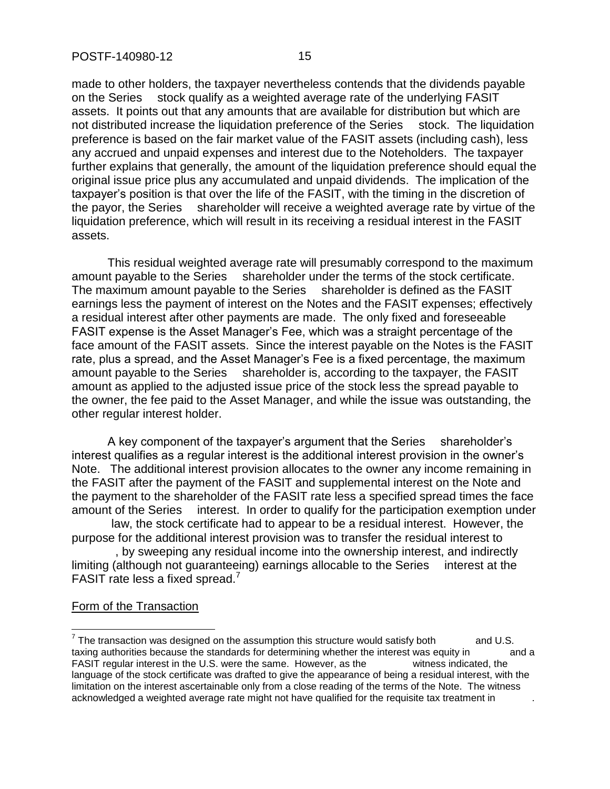made to other holders, the taxpayer nevertheless contends that the dividends payable on the Series stock qualify as a weighted average rate of the underlying FASIT assets. It points out that any amounts that are available for distribution but which are not distributed increase the liquidation preference of the Series stock. The liquidation preference is based on the fair market value of the FASIT assets (including cash), less any accrued and unpaid expenses and interest due to the Noteholders. The taxpayer further explains that generally, the amount of the liquidation preference should equal the original issue price plus any accumulated and unpaid dividends. The implication of the taxpayer's position is that over the life of the FASIT, with the timing in the discretion of the payor, the Series shareholder will receive a weighted average rate by virtue of the liquidation preference, which will result in its receiving a residual interest in the FASIT assets.

This residual weighted average rate will presumably correspond to the maximum amount payable to the Series shareholder under the terms of the stock certificate. The maximum amount payable to the Series ---shareholder is defined as the FASIT earnings less the payment of interest on the Notes and the FASIT expenses; effectively a residual interest after other payments are made. The only fixed and foreseeable FASIT expense is the Asset Manager's Fee, which was a straight percentage of the face amount of the FASIT assets. Since the interest payable on the Notes is the FASIT rate, plus a spread, and the Asset Manager's Fee is a fixed percentage, the maximum amount payable to the Series shareholder is, according to the taxpayer, the FASIT amount as applied to the adjusted issue price of the stock less the spread payable to the owner, the fee paid to the Asset Manager, and while the issue was outstanding, the other regular interest holder.

A key component of the taxpayer's argument that the Series ---shareholder's interest qualifies as a regular interest is the additional interest provision in the owner's Note. The additional interest provision allocates to the owner any income remaining in the FASIT after the payment of the FASIT and supplemental interest on the Note and the payment to the shareholder of the FASIT rate less a specified spread times the face amount of the Series interest. In order to qualify for the participation exemption under

law, the stock certificate had to appear to be a residual interest. However, the purpose for the additional interest provision was to transfer the residual interest to

by sweeping any residual income into the ownership interest, and indirectly limiting (although not guaranteeing) earnings allocable to the Series interest at the FASIT rate less a fixed spread.<sup>7</sup>

#### Form of the Transaction

 $\overline{a}$ 

 $^7$  The transaction was designed on the assumption this structure would satisfy both  $\qquad \qquad$  and U.S. taxing authorities because the standards for determining whether the interest was equity in eand a FASIT regular interest in the U.S. were the same. However, as the witness indicated, the language of the stock certificate was drafted to give the appearance of being a residual interest, with the limitation on the interest ascertainable only from a close reading of the terms of the Note. The witness acknowledged a weighted average rate might not have qualified for the requisite tax treatment in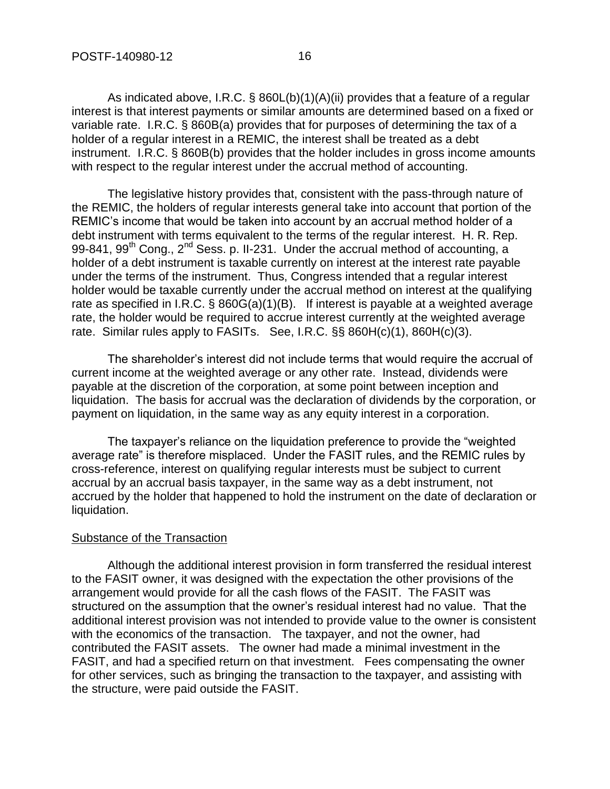As indicated above, I.R.C. § 860L(b)(1)(A)(ii) provides that a feature of a regular interest is that interest payments or similar amounts are determined based on a fixed or variable rate. I.R.C. § 860B(a) provides that for purposes of determining the tax of a holder of a regular interest in a REMIC, the interest shall be treated as a debt instrument. I.R.C. § 860B(b) provides that the holder includes in gross income amounts with respect to the regular interest under the accrual method of accounting.

The legislative history provides that, consistent with the pass-through nature of the REMIC, the holders of regular interests general take into account that portion of the REMIC's income that would be taken into account by an accrual method holder of a debt instrument with terms equivalent to the terms of the regular interest. H. R. Rep. 99-841, 99<sup>th</sup> Cong., 2<sup>nd</sup> Sess. p. II-231. Under the accrual method of accounting, a holder of a debt instrument is taxable currently on interest at the interest rate payable under the terms of the instrument. Thus, Congress intended that a regular interest holder would be taxable currently under the accrual method on interest at the qualifying rate as specified in I.R.C. § 860G(a)(1)(B). If interest is payable at a weighted average rate, the holder would be required to accrue interest currently at the weighted average rate. Similar rules apply to FASITs. See, I.R.C. §§ 860H(c)(1), 860H(c)(3).

The shareholder's interest did not include terms that would require the accrual of current income at the weighted average or any other rate. Instead, dividends were payable at the discretion of the corporation, at some point between inception and liquidation. The basis for accrual was the declaration of dividends by the corporation, or payment on liquidation, in the same way as any equity interest in a corporation.

The taxpayer's reliance on the liquidation preference to provide the "weighted average rate" is therefore misplaced. Under the FASIT rules, and the REMIC rules by cross-reference, interest on qualifying regular interests must be subject to current accrual by an accrual basis taxpayer, in the same way as a debt instrument, not accrued by the holder that happened to hold the instrument on the date of declaration or liquidation.

#### Substance of the Transaction

Although the additional interest provision in form transferred the residual interest to the FASIT owner, it was designed with the expectation the other provisions of the arrangement would provide for all the cash flows of the FASIT. The FASIT was structured on the assumption that the owner's residual interest had no value. That the additional interest provision was not intended to provide value to the owner is consistent with the economics of the transaction. The taxpayer, and not the owner, had contributed the FASIT assets. The owner had made a minimal investment in the FASIT, and had a specified return on that investment. Fees compensating the owner for other services, such as bringing the transaction to the taxpayer, and assisting with the structure, were paid outside the FASIT.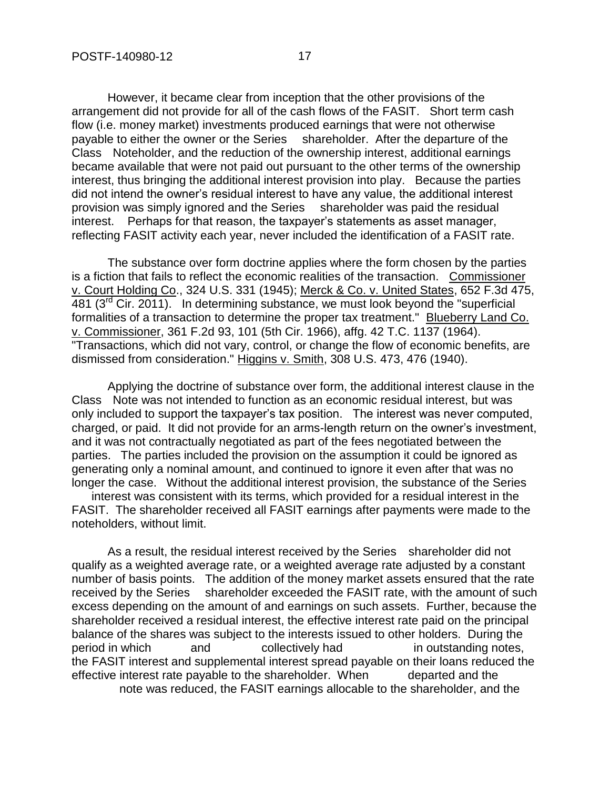However, it became clear from inception that the other provisions of the arrangement did not provide for all of the cash flows of the FASIT. Short term cash flow (i.e. money market) investments produced earnings that were not otherwise payable to either the owner or the Series shareholder. After the departure of the Class Noteholder, and the reduction of the ownership interest, additional earnings became available that were not paid out pursuant to the other terms of the ownership interest, thus bringing the additional interest provision into play. Because the parties did not intend the owner's residual interest to have any value, the additional interest provision was simply ignored and the Series ---shareholder was paid the residual interest. Perhaps for that reason, the taxpayer's statements as asset manager, reflecting FASIT activity each year, never included the identification of a FASIT rate.

The substance over form doctrine applies where the form chosen by the parties is a fiction that fails to reflect the economic realities of the transaction. Commissioner v. Court Holding Co., 324 U.S. 331 (1945); Merck & Co. v. United States, 652 F.3d 475, 481 ( $3^{rd}$  Cir. 2011). In determining substance, we must look beyond the "superficial formalities of a transaction to determine the proper tax treatment." Blueberry Land Co. v. Commissioner, 361 F.2d 93, 101 (5th Cir. 1966), affg. 42 T.C. 1137 (1964). "Transactions, which did not vary, control, or change the flow of economic benefits, are dismissed from consideration." Higgins v. Smith, 308 U.S. 473, 476 (1940).

Applying the doctrine of substance over form, the additional interest clause in the Class - Note was not intended to function as an economic residual interest, but was only included to support the taxpayer's tax position. The interest was never computed, charged, or paid. It did not provide for an arms-length return on the owner's investment, and it was not contractually negotiated as part of the fees negotiated between the parties. The parties included the provision on the assumption it could be ignored as generating only a nominal amount, and continued to ignore it even after that was no longer the case. Without the additional interest provision, the substance of the Series -

interest was consistent with its terms, which provided for a residual interest in the FASIT. The shareholder received all FASIT earnings after payments were made to the noteholders, without limit.

As a result, the residual interest received by the Series shareholder did not qualify as a weighted average rate, or a weighted average rate adjusted by a constant number of basis points. The addition of the money market assets ensured that the rate received by the Series shareholder exceeded the FASIT rate, with the amount of such excess depending on the amount of and earnings on such assets. Further, because the shareholder received a residual interest, the effective interest rate paid on the principal balance of the shares was subject to the interests issued to other holders. During the period in which  $\qquad$  and  $\qquad$  collectively had  $\qquad$  in outstanding notes, the FASIT interest and supplemental interest spread payable on their loans reduced the effective interest rate payable to the shareholder. When departed and the note was reduced, the FASIT earnings allocable to the shareholder, and the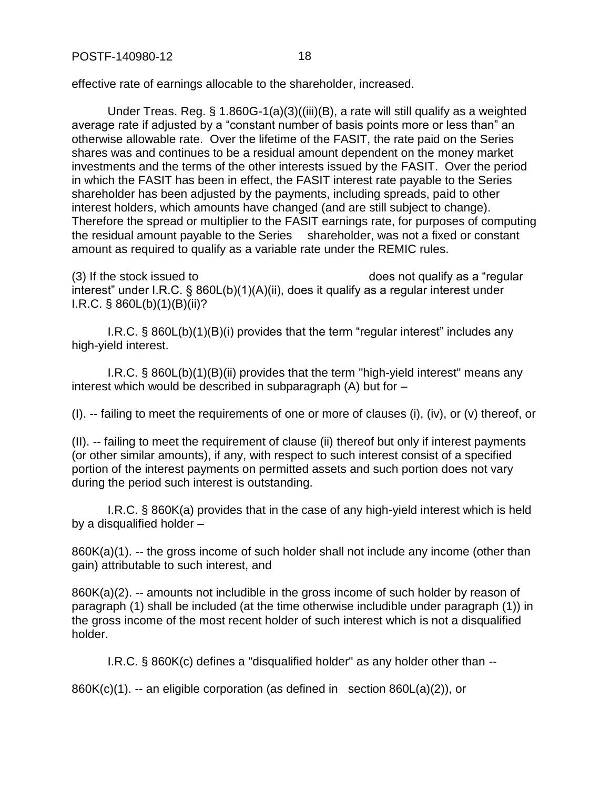POSTF-140980-12 18

effective rate of earnings allocable to the shareholder, increased.

Under Treas. Reg. § 1.860G-1(a)(3)((iii)(B), a rate will still qualify as a weighted average rate if adjusted by a "constant number of basis points more or less than" an otherwise allowable rate. Over the lifetime of the FASIT, the rate paid on the Series shares was and continues to be a residual amount dependent on the money market investments and the terms of the other interests issued by the FASIT. Over the period in which the FASIT has been in effect, the FASIT interest rate payable to the Series shareholder has been adjusted by the payments, including spreads, paid to other interest holders, which amounts have changed (and are still subject to change). Therefore the spread or multiplier to the FASIT earnings rate, for purposes of computing the residual amount payable to the Series shareholder, was not a fixed or constant amount as required to qualify as a variable rate under the REMIC rules.

 $(3)$  If the stock issued to  $\qquad \qquad$  does not qualify as a "regular interest" under I.R.C. § 860L(b)(1)(A)(ii), does it qualify as a regular interest under I.R.C. § 860L(b)(1)(B)(ii)?

I.R.C. § 860L(b)(1)(B)(i) provides that the term "regular interest" includes any high-yield interest.

I.R.C. § 860L(b)(1)(B)(ii) provides that the term "high-yield interest" means any interest which would be described in subparagraph (A) but for –

(I). -- failing to meet the requirements of one or more of clauses (i), (iv), or (v) thereof, or

(II). -- failing to meet the requirement of clause (ii) thereof but only if interest payments (or other similar amounts), if any, with respect to such interest consist of a specified portion of the interest payments on permitted assets and such portion does not vary during the period such interest is outstanding.

I.R.C. § 860K(a) provides that in the case of any high-yield interest which is held by a disqualified holder –

860K(a)(1). -- the gross income of such holder shall not include any income (other than gain) attributable to such interest, and

860K(a)(2). -- amounts not includible in the gross income of such holder by reason of paragraph (1) shall be included (at the time otherwise includible under paragraph (1)) in the gross income of the most recent holder of such interest which is not a disqualified holder.

I.R.C. § 860K(c) defines a "disqualified holder" as any holder other than --

860K(c)(1). -- an eligible corporation (as defined in section 860L(a)(2)), or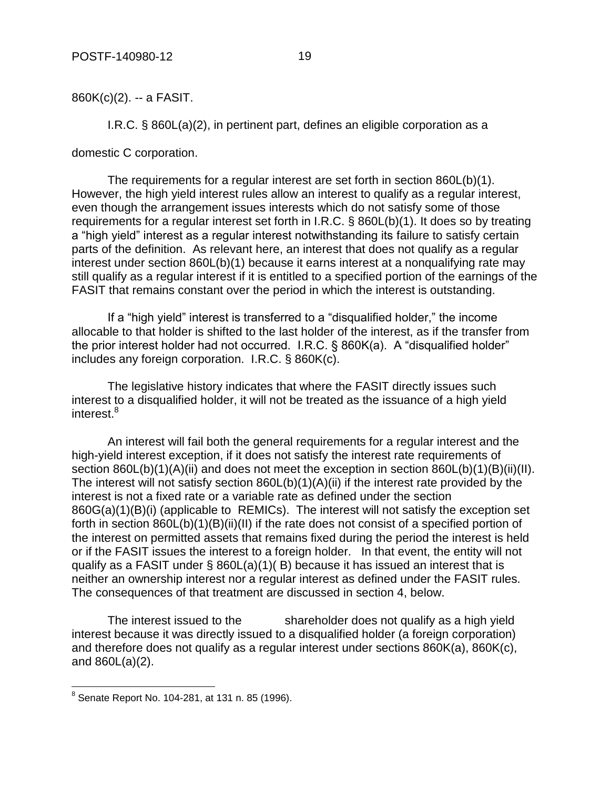860K(c)(2). -- a FASIT.

I.R.C. § 860L(a)(2), in pertinent part, defines an eligible corporation as a

domestic C corporation.

The requirements for a regular interest are set forth in section 860L(b)(1). However, the high yield interest rules allow an interest to qualify as a regular interest, even though the arrangement issues interests which do not satisfy some of those requirements for a regular interest set forth in I.R.C. § 860L(b)(1). It does so by treating a "high yield" interest as a regular interest notwithstanding its failure to satisfy certain parts of the definition. As relevant here, an interest that does not qualify as a regular interest under section 860L(b)(1) because it earns interest at a nonqualifying rate may still qualify as a regular interest if it is entitled to a specified portion of the earnings of the FASIT that remains constant over the period in which the interest is outstanding.

If a "high yield" interest is transferred to a "disqualified holder," the income allocable to that holder is shifted to the last holder of the interest, as if the transfer from the prior interest holder had not occurred. I.R.C. § 860K(a). A "disqualified holder" includes any foreign corporation. I.R.C. § 860K(c).

The legislative history indicates that where the FASIT directly issues such interest to a disqualified holder, it will not be treated as the issuance of a high yield interest.<sup>8</sup>

An interest will fail both the general requirements for a regular interest and the high-yield interest exception, if it does not satisfy the interest rate requirements of section 860L(b)(1)(A)(ii) and does not meet the exception in section 860L(b)(1)(B)(ii)(II). The interest will not satisfy section 860L(b)(1)(A)(ii) if the interest rate provided by the interest is not a fixed rate or a variable rate as defined under the section 860G(a)(1)(B)(i) (applicable to REMICs). The interest will not satisfy the exception set forth in section  $860L(b)(1)(B)(ii)(II)$  if the rate does not consist of a specified portion of the interest on permitted assets that remains fixed during the period the interest is held or if the FASIT issues the interest to a foreign holder. In that event, the entity will not qualify as a FASIT under § 860L(a)(1)( B) because it has issued an interest that is neither an ownership interest nor a regular interest as defined under the FASIT rules. The consequences of that treatment are discussed in section 4, below.

The interest issued to the shareholder does not qualify as a high yield interest because it was directly issued to a disqualified holder (a foreign corporation) and therefore does not qualify as a regular interest under sections 860K(a), 860K(c), and 860L(a)(2).

 8 Senate Report No. 104-281, at 131 n. 85 (1996).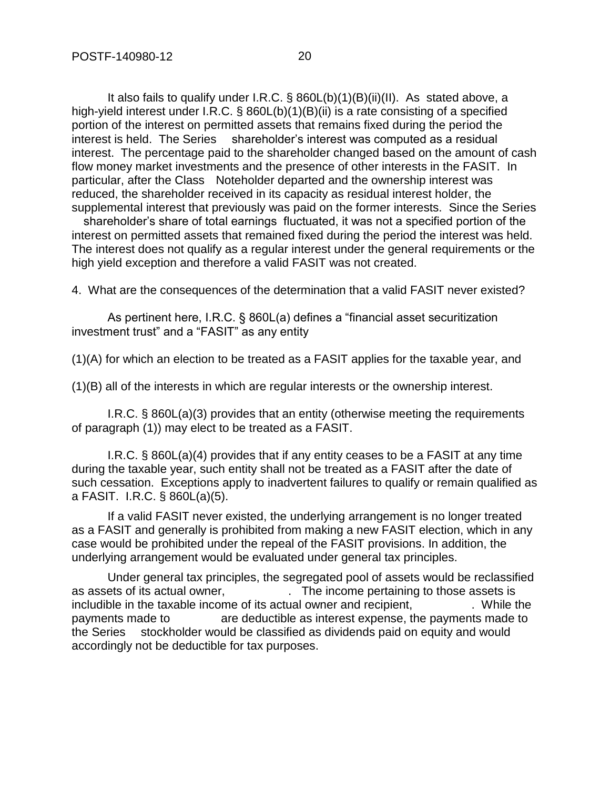It also fails to qualify under I.R.C. § 860L(b)(1)(B)(ii)(II). As stated above, a high-yield interest under I.R.C. § 860L(b)(1)(B)(ii) is a rate consisting of a specified portion of the interest on permitted assets that remains fixed during the period the interest is held. The Series shareholder's interest was computed as a residual interest. The percentage paid to the shareholder changed based on the amount of cash flow money market investments and the presence of other interests in the FASIT. In particular, after the Class - Noteholder departed and the ownership interest was reduced, the shareholder received in its capacity as residual interest holder, the supplemental interest that previously was paid on the former interests. Since the Series

shareholder's share of total earnings fluctuated, it was not a specified portion of the interest on permitted assets that remained fixed during the period the interest was held. The interest does not qualify as a regular interest under the general requirements or the high yield exception and therefore a valid FASIT was not created.

4. What are the consequences of the determination that a valid FASIT never existed?

As pertinent here, I.R.C. § 860L(a) defines a "financial asset securitization investment trust" and a "FASIT" as any entity

(1)(A) for which an election to be treated as a FASIT applies for the taxable year, and

(1)(B) all of the interests in which are regular interests or the ownership interest.

I.R.C. § 860L(a)(3) provides that an entity (otherwise meeting the requirements of paragraph (1)) may elect to be treated as a FASIT.

I.R.C. § 860L(a)(4) provides that if any entity ceases to be a FASIT at any time during the taxable year, such entity shall not be treated as a FASIT after the date of such cessation. Exceptions apply to inadvertent failures to qualify or remain qualified as a FASIT. I.R.C. § 860L(a)(5).

If a valid FASIT never existed, the underlying arrangement is no longer treated as a FASIT and generally is prohibited from making a new FASIT election, which in any case would be prohibited under the repeal of the FASIT provisions. In addition, the underlying arrangement would be evaluated under general tax principles.

Under general tax principles, the segregated pool of assets would be reclassified as assets of its actual owner, The income pertaining to those assets is includible in the taxable income of its actual owner and recipient, The Mulle the payments made to are deductible as interest expense, the payments made to the Series stockholder would be classified as dividends paid on equity and would accordingly not be deductible for tax purposes.